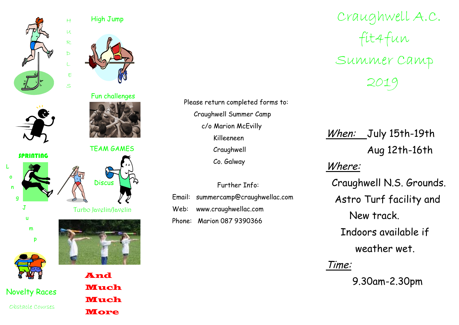

## High Jump

 $H$ 

U<br>R

 $\mathbb{D}$ 

ES

Fun challenges



L

g

 $J$ 

u

m

o n

TEAM GAMES







Novelty Races Obstacle Courses

p

**And** Much**Much More** 

Please return completed forms to: Craughwell Summer Camp c/o Marion McEvilly Killeeneen Craughwell Co. Galway

Further Info:

Email: summercamp@craughwellac.com Web: www.craughwellac.com Phone: Marion 087 9390366

Craughwell A.C. Summer Camp  $200C$ 2019

When: July 15th-19th Aug 12th-16th Where:

Craughwell N.S. Grounds. Astro Turf facility and New track. Indoors available if weather wet.

## Time:

9.30am-2.30pm